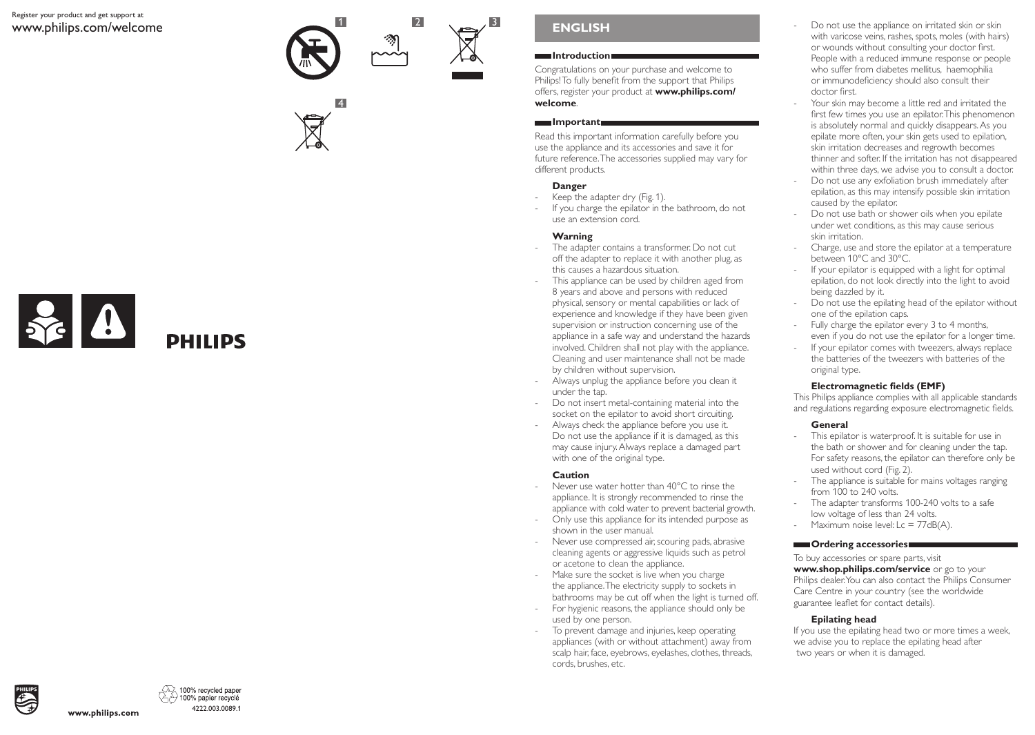#### Register your product and get support at www.philips.com/welcome







# **ENGLISH**

#### **Introduction**

Congratulations on your purchase and welcome to Philips! To fully benefit from the support that Philips offers, register your product at **www.philips.com/ welcome**.

#### **Important**

Read this important information carefully before you use the appliance and its accessories and save it for future reference. The accessories supplied may vary for different products.

### **Danger**

- Keep the adapter dry (Fig. 1).
- If you charge the epilator in the bathroom, do not use an extension cord.

### **Warning**

- The adapter contains a transformer. Do not cut off the adapter to replace it with another plug, as this causes a hazardous situation.
- This appliance can be used by children aged from 8 years and above and persons with reduced physical, sensory or mental capabilities or lack of experience and knowledge if they have been given supervision or instruction concerning use of the appliance in a safe way and understand the hazards involved. Children shall not play with the appliance. Cleaning and user maintenance shall not be made by children without supervision.
- Always unplug the appliance before you clean it under the tap.
- Do not insert metal-containing material into the socket on the epilator to avoid short circuiting.
- Always check the appliance before you use it. Do not use the appliance if it is damaged, as this may cause injury. Always replace a damaged part with one of the original type.

#### **Caution**

- Never use water hotter than 40°C to rinse the appliance. It is strongly recommended to rinse the appliance with cold water to prevent bacterial growth.
- Only use this appliance for its intended purpose as shown in the user manual.
- Never use compressed air, scouring pads, abrasive cleaning agents or aggressive liquids such as petrol or acetone to clean the appliance.
- Make sure the socket is live when you charge the appliance. The electricity supply to sockets in bathrooms may be cut off when the light is turned off.
- For hygienic reasons, the appliance should only be used by one person.
- To prevent damage and injuries, keep operating appliances (with or without attachment) away from scalp hair, face, eyebrows, eyelashes, clothes, threads, cords, brushes, etc.
- Do not use the appliance on irritated skin or skin with varicose veins, rashes, spots, moles (with hairs) or wounds without consulting your doctor first. People with a reduced immune response or people who suffer from diabetes mellitus, haemophilia or immunodeficiency should also consult their doctor first.
- Your skin may become a little red and irritated the first few times you use an epilator. This phenomenon is absolutely normal and quickly disappears. As you epilate more often, your skin gets used to epilation, skin irritation decreases and regrowth becomes thinner and softer. If the irritation has not disappeared within three days, we advise you to consult a doctor.
- Do not use any exfoliation brush immediately after epilation, as this may intensify possible skin irritation caused by the epilator.
- Do not use bath or shower oils when you epilate under wet conditions, as this may cause serious skin irritation.
- Charge, use and store the epilator at a temperature between 10°C and 30°C.
- If your epilator is equipped with a light for optimal epilation, do not look directly into the light to avoid being dazzled by it.
- Do not use the epilating head of the epilator without one of the epilation caps.
- Fully charge the epilator every 3 to 4 months, even if you do not use the epilator for a longer time.
- If your epilator comes with tweezers, always replace the batteries of the tweezers with batteries of the original type.

## **Electromagnetic fields (EMF)**

This Philips appliance complies with all applicable standards and regulations regarding exposure electromagnetic fields.

#### **General**

- This epilator is waterproof. It is suitable for use in the bath or shower and for cleaning under the tap. For safety reasons, the epilator can therefore only be used without cord (Fig. 2).
- The appliance is suitable for mains voltages ranging from 100 to 240 volts.
- The adapter transforms 100-240 volts to a safe low voltage of less than 24 volts.
- Maximum noise level:  $Lc = 77dB(A)$ .

#### **Condering accessories**

To buy accessories or spare parts, visit **www.shop.philips.com/service** or go to your Philips dealer. You can also contact the Philips Consumer Care Centre in your country (see the worldwide guarantee leaflet for contact details).

## **Epilating head**

If you use the epilating head two or more times a week, we advise you to replace the epilating head after two years or when it is damaged.



100% recycled paper 100% papier recyclé 4222.003.0089.1

www.philips.com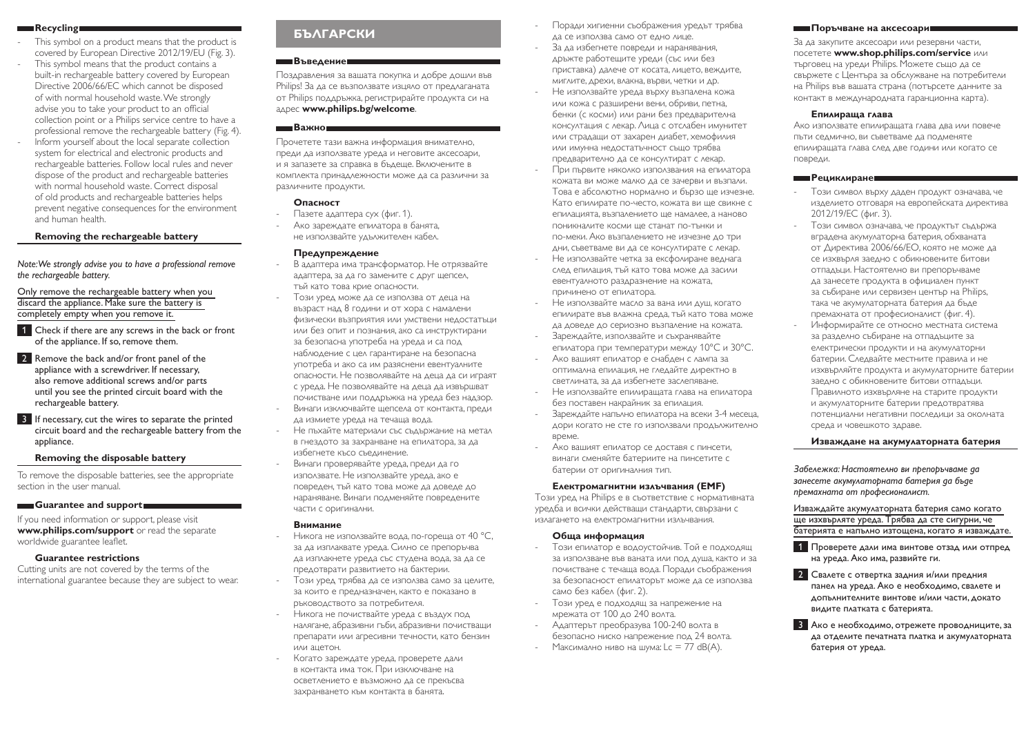#### **Recycling**

- This symbol on a product means that the product is covered by European Directive 2012/19/EU (Fig. 3).
- This symbol means that the product contains a built-in rechargeable battery covered by European Directive 2006/66/EC which cannot be disposed of with normal household waste. We strongly advise you to take your product to an official collection point or a Philips service centre to have a professional remove the rechargeable battery (Fig. 4).
- Inform yourself about the local separate collection system for electrical and electronic products and rechargeable batteries. Follow local rules and never dispose of the product and rechargeable batteries with normal household waste. Correct disposal of old products and rechargeable batteries helps prevent negative consequences for the environment and human health.

#### **Removing the rechargeable battery**

*Note: We strongly advise you to have a professional remove the rechargeable battery.* 

Only remove the rechargeable battery when you discard the appliance. Make sure the battery is completely empty when you remove it.

- 1 Check if there are any screws in the back or front of the appliance. If so, remove them.
- 2 Remove the back and/or front panel of the appliance with a screwdriver. If necessary, also remove additional screws and/or parts until you see the printed circuit board with the rechargeable battery.
- **3** If necessary, cut the wires to separate the printed circuit board and the rechargeable battery from the appliance.

#### **Removing the disposable battery**

To remove the disposable batteries, see the appropriate section in the user manual.

#### **Guarantee and support**

If you need information or support, please visit **www.philips.com/support** or read the separate worldwide guarantee leaflet.

#### **Guarantee restrictions**

Cutting units are not covered by the terms of the international guarantee because they are subject to wear.

## **БЪЛГАРСКИ**

#### **Въведение**

Поздравления за вашата покупка и добре дошли във Philips! За да се възползвате изцяло от предлаганата от Philips поддръжка, регистрирайте продукта си на адрес **www.philips.bg/welcome**.

### **Важно**

Прочетете тази важна информация внимателно, преди да използвате уреда и неговите аксесоари, и я запазете за справка в бъдеще. Включените в комплекта принадлежности може да са различни за различните продукти.

#### **Опасност**

- Пазете адаптера сух (фиг. 1).
- Ако зареждате епилатора в банята, не използвайте удължителен кабел.

#### **Предупреждение**

- В адаптера има трансформатор. Не отрязвайте адаптера, за да го замените с друг щепсел, тъй като това крие опасности.
- Този уред може да се използва от деца на възраст над 8 години и от хора с намалени физически възприятия или умствени недостатъци или без опит и познания, ако са инструктирани за безопасна употреба на уреда и са под наблюдение с цел гарантиране на безопасна употреба и ако са им разяснени евентуалните опасности. Не позволявайте на деца да си играят с уреда. Не позволявайте на деца да извършват почистване или поддръжка на уреда без надзор.
- Винаги изключвайте щепсела от контакта, преди да измиете уреда на течаща вода.
- Не пъхайте материали със съдържание на метал в гнездото за захранване на епилатора, за да избегнете късо съединение.
- Винаги проверявайте уреда, преди да го използвате. Не използвайте уреда, ако е повреден, тъй като това може да доведе до нараняване. Винаги подменяйте повредените части с оригинални.

#### **Внимание**

- Никога не използвайте вода, по-гореща от 40 °C, за да изплаквате уреда. Силно се препоръчва да изплакнете уреда със студена вода, за да се предотврати развитието на бактерии.
- Този уред трябва да се използва само за целите, за които е предназначен, както е показано в ръководството за потребителя.
- Никога не почиствайте уреда с въздух под налягане, абразивни гъби, абразивни почистващи препарати или агресивни течности, като бензин или ацетон.
- Когато зареждате уреда, проверете дали в контакта има ток. При изключване на осветлението е възможно да се прекъсва захранването към контакта в банята.
- Поради хигиенни съображения уредът трябва да се използва само от едно лице.
- За да избегнете повреди и наранявания, дръжте работещите уреди (със или без приставка) далече от косата, лицето, веждите, миглите, дрехи, влакна, върви, четки и др.
- Не използвайте уреда върху възпалена кожа или кожа с разширени вени, обриви, петна, бенки (с косми) или рани без предварителна консултация с лекар. Лица с отслабен имунитет или страдащи от захарен диабет, хемофилия или имунна недостатъчност също трябва предварително да се консултират с лекар.
- При първите няколко използвания на епилатора кожата ви може малко да се зачерви и възпали. Това е абсолютно нормално и бързо ще изчезне. Като епилирате по-често, кожата ви ще свикне с епилацията, възпалението ще намалее, а наново поникналите косми ще станат по-тънки и по-меки. Ако възпалението не изчезне до три дни, съветваме ви да се консултирате с лекар.
- Не използвайте четка за ексфолиране веднага след епилация, тъй като това може да засили евентуалното раздразнение на кожата, причинено от епилатора.
- Не използвайте масло за вана или душ, когато епилирате във влажна среда, тъй като това може да доведе до сериозно възпаление на кожата. - Зареждайте, използвайте и съхранявайте
- епилатора при температури между 10°C и 30°C.
- Ако вашият епилатор е снабден с лампа за оптимална епилация, не гледайте директно в светлината, за да избегнете заслепяване.
- Не използвайте епилиращата глава на епилатора без поставен накрайник за епилация.
- Зареждайте напълно епилатора на всеки 3-4 месеца, дори когато не сте го използвали продължително време.
- Ако вашият епилатор се доставя с пинсети, винаги сменяйте батериите на пинсетите с батерии от оригиналния тип.

#### **Електромагнитни излъчвания (EMF)**

Този уред на Philips е в съответствие с нормативната уредба и всички действащи стандарти, свързани с излагането на електромагнитни излъчвания.

#### **Обща информация**

- Този епилатор е водоустойчив. Той е подходящ за използване във ваната или под душа, както и за почистване с течаща вода. Поради съображения за безопасност епилаторът може да се използва само без кабел (фиг. 2).
- Този уред е подходящ за напрежение на мрежата от 100 до 240 волта.
- Адаптерът преобразува 100-240 волта в безопасно ниско напрежение под 24 волта.
- Максимално ниво на шума: Lc = 77 dB(A).

#### **Поръчване на аксесоари**

За да закупите аксесоари или резервни части, посетете **www.shop.philips.com/service** или търговец на уреди Philips. Можете също да се свържете с Центъра за обслужване на потребители на Philips във вашата страна (потърсете данните за контакт в международната гаранционна карта).

#### **Епилираща глава**

Ако използвате епилиращата глава два или повече пъти седмично, ви съветваме да подменяте епилиращата глава след две години или когато се повреди.

#### **Рециклиране**

- Този символ върху даден продукт означава, че изделието отговаря на европейската директива 2012/19/ЕС (фиг. 3).
- Този символ означава, че продуктът съдържа вградена акумулаторна батерия, обхваната от Директива 2006/66/ЕО, която не може да се изхвърля заедно с обикновените битови отпадъци. Настоятелно ви препоръчваме да занесете продукта в официален пункт за събиране или сервизен център на Philips, така че акумулаторната батерия да бъде премахната от професионалист (фиг. 4).
- Информирайте се относно местната система за разделно събиране на отпадъците за електрически продукти и на акумулаторни батерии. Следвайте местните правила и не изхвърляйте продукта и акумулаторните батерии заедно с обикновените битови отпадъци. Правилното изхвърляне на старите продукти и акумулаторните батерии предотвратява потенциални негативни последици за околната среда и човешкото здраве.

#### **Изваждане на акумулаторната батерия**

*Забележка: Настоятелно ви препоръчваме да занесете акумулаторната батерия да бъде премахната от професионалист.* 

#### Изваждайте акумулаторната батерия само когато ще изхвърляте уреда. Трябва да сте сигурни, че батерията е напълно изтощена, когато я изваждате.

- 1 Проверете дали има винтове отзад или отпред на уреда. Ако има, развийте ги.
- 2 Свалете с отвертка задния и/или предния панел на уреда. Ако е необходимо, свалете и допълнителните винтове и/или части, докато видите платката с батерията.
- 3 Ако е необходимо, отрежете проводниците, за да отделите печатната платка и акумулаторната батерия от уреда.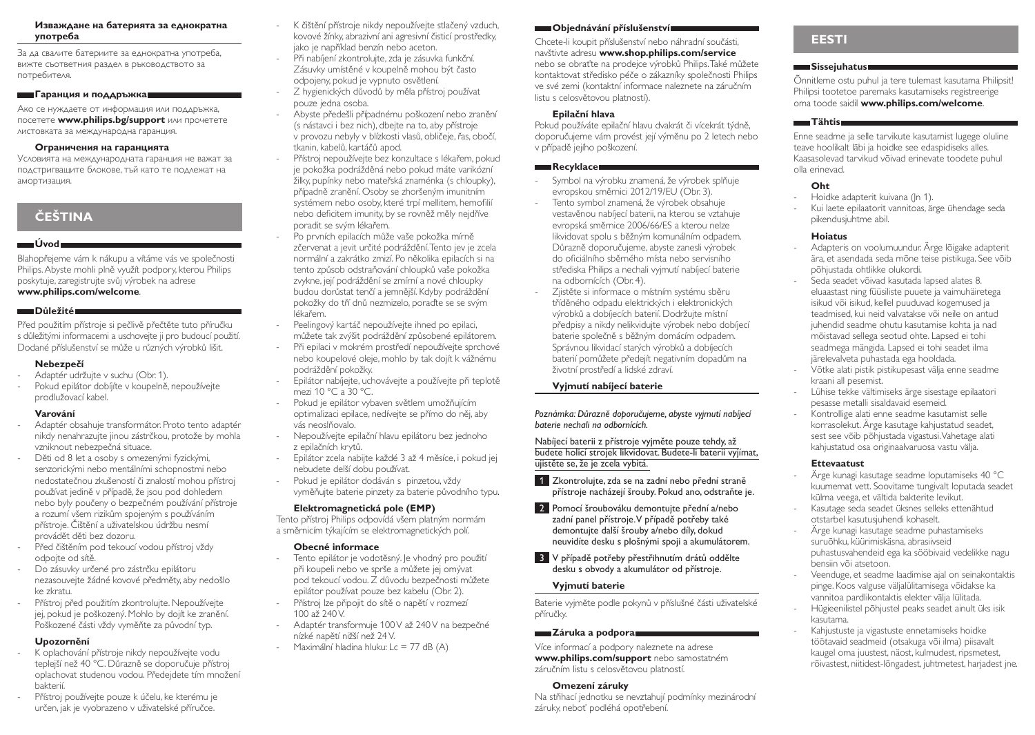#### **Изваждане на батерията за еднократна употреба**

За да свалите батериите за еднократна употреба, вижте съответния раздел в ръководството за потребителя.

#### **Гаранция и поддръжка**

Ако се нуждаете от информация или поддръжка, посетете **www.philips.bg/support** или прочетете листовката за международна гаранция.

#### **Ограничения на гаранцията**

Условията на международната гаранция не важат за подстригващите блокове, тъй като те подлежат на амортизация.

# **ČEŠTINA**

#### **Úvod**

Blahopřejeme vám k nákupu a vítáme vás ve společnosti Philips. Abyste mohli plně využít podpory, kterou Philips poskytuje, zaregistrujte svůj výrobek na adrese **www.philips.com/welcome**.

#### **Důležité**

Před použitím přístroje si pečlivě přečtěte tuto příručku s důležitými informacemi a uschovejte ji pro budoucí použití. Dodané příslušenství se může u různých výrobků lišit.

## **Nebezpečí**

- Adaptér udržujte v suchu (Obr. 1).
- Pokud epilátor dobíjíte v koupelně, nepoužívejte prodlužovací kabel.

## **Varování**

- Adaptér obsahuje transformátor. Proto tento adaptér nikdy nenahrazujte jinou zástrčkou, protože by mohla vzniknout nebezpečná situace.
- Děti od 8 let a osoby s omezenými fyzickými, senzorickými nebo mentálními schopnostmi nebo nedostatečnou zkušeností či znalostí mohou přístroj používat jedině v případě, že jsou pod dohledem nebo byly poučeny o bezpečném používání přístroje a rozumí všem rizikům spojeným s používáním přístroje. Čištění a uživatelskou údržbu nesmí provádět děti bez dozoru.
- Před čištěním pod tekoucí vodou přístroj vždy odpojte od sítě.
- Do zásuvky určené pro zástrčku epilátoru nezasouvejte žádné kovové předměty, aby nedošlo ke zkratu.
- Přístroj před použitím zkontrolujte. Nepoužívejte jej, pokud je poškozený. Mohlo by dojít ke zranění. Poškozené části vždy vyměňte za původní typ.

## **Upozornění**

- K oplachování přístroje nikdy nepoužívejte vodu teplejší než 40 °C. Důrazně se doporučuje přístroj oplachovat studenou vodou. Předejdete tím množení bakterií.
- Přístroj používejte pouze k účelu, ke kterému je určen, jak je vyobrazeno v uživatelské příručce.
- K čištění přístroje nikdy nepoužívejte stlačený vzduch, kovové žínky, abrazivní ani agresivní čisticí prostředky, jako je například benzín nebo aceton. Při nabíjení zkontrolujte, zda je zásuvka funkční.
- Zásuvky umístěné v koupelně mohou být často odpojeny, pokud je vypnuto osvětlení. Z hygienických důvodů by měla přístroj používat
- pouze jedna osoba.
- Abyste předešli případnému poškození nebo zranění (s nástavci i bez nich), dbejte na to, aby přístroje v provozu nebyly v blízkosti vlasů, obličeje, řas, obočí, tkanin, kabelů, kartáčů apod.
- Přístroj nepoužívejte bez konzultace s lékařem, pokud je pokožka podrážděná nebo pokud máte varikózní žilky, pupínky nebo mateřská znaménka (s chloupky), případně zranění. Osoby se zhoršeným imunitním systémem nebo osoby, které trpí mellitem, hemofilií nebo deficitem imunity, by se rovněž měly nejdříve poradit se svým lékařem.
- Po prvních epilacích může vaše pokožka mírně zčervenat a jevit určité podráždění. Tento jev je zcela normální a zakrátko zmizí. Po několika epilacích si na tento způsob odstraňování chloupků vaše pokožka zvykne, její podráždění se zmírní a nové chloupky budou dorůstat tenčí a jemnější. Kdyby podráždění pokožky do tří dnů nezmizelo, poraďte se se svým lékařem.
- Peelingový kartáč nepoužívejte ihned po epilaci, můžete tak zvýšit podráždění způsobené epilátorem.
- Při epilaci v mokrém prostředí nepoužívejte sprchové nebo koupelové oleje, mohlo by tak dojít k vážnému podráždění pokožky.
	- Epilátor nabíjejte, uchovávejte a používejte při teplotě mezi 10 °C a 30 °C.
- Pokud je epilátor vybaven světlem umožňujícím optimalizaci epilace, nedívejte se přímo do něj, aby vás neoslňovalo.
- Nepoužívejte epilační hlavu epilátoru bez jednoho z epilačních krytů.
- Epilátor zcela nabijte každé 3 až 4 měsíce, i pokud jej nebudete delší dobu používat.
- Pokud je epilátor dodáván s pinzetou, vždy vyměňujte baterie pinzety za baterie původního typu.

## **Elektromagnetická pole (EMP)**

Tento přístroj Philips odpovídá všem platným normám a směrnicím týkajícím se elektromagnetických polí.

## **Obecné informace**

- Tento epilátor je vodotěsný, le vhodný pro použití při koupeli nebo ve sprše a můžete jej omývat pod tekoucí vodou. Z důvodu bezpečnosti můžete epilátor používat pouze bez kabelu (Obr. 2).
- Přístroj lze připojit do sítě o napětí v rozmezí 100 až 240V.
- Adaptér transformuje 100V až 240V na bezpečné nízké napětí nižší než 24V.
- Maximální hladina hluku: Lc = 77 dB (A)

## **Objednávání příslušenství**

Chcete-li koupit příslušenství nebo náhradní součásti, navštivte adresu **www.shop.philips.com/service** nebo se obraťte na prodejce výrobků Philips. Také můžete kontaktovat středisko péče o zákazníky společnosti Philips ve své zemi (kontaktní informace naleznete na záručním listu s celosvětovou platností).

#### **Epilační hlava**

Pokud používáte epilační hlavu dvakrát či vícekrát týdně, doporučujeme vám provést její výměnu po 2 letech nebo v případě jejího poškození.

#### **Recyklace**

- Symbol na výrobku znamená, že výrobek splňuje evropskou směrnici 2012/19/EU (Obr. 3).
- Tento symbol znamená, že výrobek obsahuje vestavěnou nabíjecí baterii, na kterou se vztahuje evropská směrnice 2006/66/ES a kterou nelze likvidovat spolu s běžným komunálním odpadem. Důrazně doporučujeme, abyste zanesli výrobek do oficiálního sběrného místa nebo servisního střediska Philips a nechali vyjmutí nabíjecí baterie na odbornících (Obr. 4).
- Zjistěte si informace o místním systému sběru tříděného odpadu elektrických i elektronických výrobků a dobíjecích baterií. Dodržujte místní předpisy a nikdy nelikvidujte výrobek nebo dobíjecí baterie společně s běžným domácím odpadem. Správnou likvidací starých výrobků a dobíjecích baterií pomůžete předejít negativním dopadům na životní prostředí a lidské zdraví.

## **Vyjmutí nabíjecí baterie**

*Poznámka: Důrazně doporučujeme, abyste vyjmutí nabíjecí baterie nechali na odbornících.* 

Nabíjecí baterii z přístroje vyjměte pouze tehdy, až budete holicí strojek likvidovat. Budete-li baterii vyjímat, ujistěte se, že je zcela vybitá.

- <sup>1</sup> Zkontrolujte, zda se na zadní nebo přední straně přístroje nacházejí šrouby. Pokud ano, odstraňte je.
- 2 Pomocí šroubováku demontujte přední a/nebo zadní panel přístroje. V případě potřeby také demontujte další šrouby a/nebo díly, dokud neuvidíte desku s plošnými spoji a akumulátorem.
- 3 V případě potřeby přestřihnutím drátů oddělte desku s obvody a akumulátor od přístroje.

## **Vyjmutí baterie**

Baterie vyjměte podle pokynů v příslušné části uživatelské příručky.

## **Záruka a podpora**

Více informací a podpory naleznete na adrese **www.philips.com/support** nebo samostatném záručním listu s celosvětovou platností.

#### **Omezení záruky**

Na střihací jednotku se nevztahují podmínky mezinárodní záruky, neboť podléhá opotřebení.

## **EESTI**

### **Sissejuhatus**

Õnnitleme ostu puhul ja tere tulemast kasutama Philipsit! Philipsi tootetoe paremaks kasutamiseks registreerige oma toode saidil **www.philips.com/welcome**.

#### **Tähtis**

Enne seadme ja selle tarvikute kasutamist lugege oluline teave hoolikalt läbi ja hoidke see edaspidiseks alles. Kaasasolevad tarvikud võivad erinevate toodete puhul olla erinevad.

#### **Oht**

- Hoidke adapterit kuivana (In 1). - Kui laete epilaatorit vannitoas, ärge ühendage seda pikendusjuhtme abil.

### **Hoiatus**

- Adapteris on voolumuundur. Ärge lõigake adapterit ära, et asendada seda mõne teise pistikuga. See võib põhjustada ohtlikke olukordi.
- Seda seadet võivad kasutada lapsed alates 8. eluaastast ning füüsiliste puuete ja vaimuhäiretega isikud või isikud, kellel puuduvad kogemused ja teadmised, kui neid valvatakse või neile on antud juhendid seadme ohutu kasutamise kohta ja nad mõistavad sellega seotud ohte. Lapsed ei tohi seadmega mängida. Lapsed ei tohi seadet ilma järelevalveta puhastada ega hooldada.
- Võtke alati pistik pistikupesast välja enne seadme kraani all pesemist.
- Lühise tekke vältimiseks ärge sisestage epilaatori pesasse metalli sisaldavaid esemeid.
- Kontrollige alati enne seadme kasutamist selle korrasolekut. Ärge kasutage kahjustatud seadet, sest see võib põhjustada vigastusi. Vahetage alati kahjustatud osa originaalvaruosa vastu välja.

## **Ettevaatust**

- Ärge kunagi kasutage seadme loputamiseks 40 °C kuumemat vett. Soovitame tungivalt loputada seadet külma veega, et vältida bakterite levikut.
- Kasutage seda seadet üksnes selleks ettenähtud otstarbel kasutusjuhendi kohaselt.
- Ärge kunagi kasutage seadme puhastamiseks suruõhku, küürimiskäsna, abrasiivseid puhastusvahendeid ega ka sööbivaid vedelikke nagu bensiin või atsetoon.
- Veenduge, et seadme laadimise ajal on seinakontaktis pinge. Koos valguse väljalülitamisega võidakse ka vannitoa pardlikontaktis elekter välja lülitada.
- Hügieenilistel põhjustel peaks seadet ainult üks isik kasutama.
- Kahjustuste ja vigastuste ennetamiseks hoidke töötavaid seadmeid (otsakuga või ilma) piisavalt kaugel oma juustest, näost, kulmudest, ripsmetest, rõivastest, niitidest-lõngadest, juhtmetest, harjadest jne.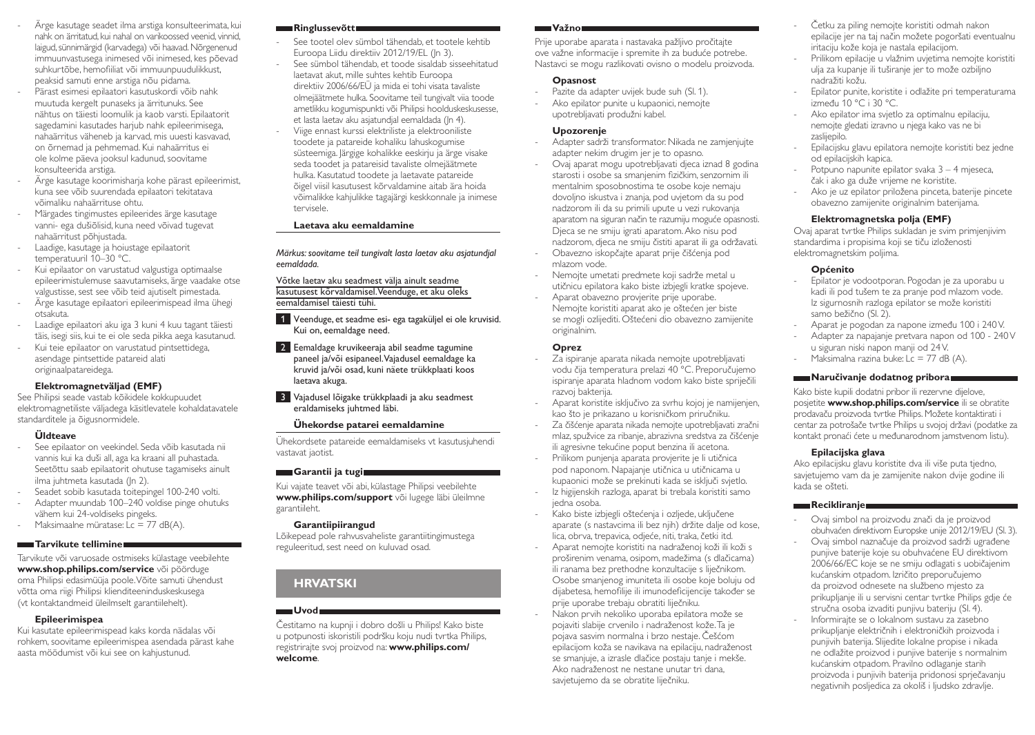- Ärge kasutage seadet ilma arstiga konsulteerimata, kui nahk on ärritatud, kui nahal on varikoossed veenid, vinnid, laigud, sünnimärgid (karvadega) või haavad. Nõrgenenud immuunvastusega inimesed või inimesed, kes põevad suhkurtõbe, hemofiiliat või immuunpuudulikkust, peaksid samuti enne arstiga nõu pidama.
- Pärast esimesi epilaatori kasutuskordi võib nahk muutuda kergelt punaseks ja ärritunuks. See nähtus on täiesti loomulik ja kaob varsti. Epilaatorit sagedamini kasutades harjub nahk epileerimisega, nahaärritus väheneb ja karvad, mis uuesti kasvavad, on õrnemad ja pehmemad. Kui nahaärritus ei ole kolme päeva jooksul kadunud, soovitame konsulteerida arstiga.
- Ärge kasutage koorimisharja kohe pärast epileerimist, kuna see võib suurendada epilaatori tekitatava võimaliku nahaärrituse ohtu.
- Märgades tingimustes epileerides ärge kasutage vanni- ega dušiõlisid, kuna need võivad tugevat nahaärritust põhjustada.
- Laadige, kasutage ja hoiustage epilaatorit temperatuuril 10-30 °C.
- Kui epilaator on varustatud valgustiga optimaalse epileerimistulemuse saavutamiseks, ärge vaadake otse valgustisse, sest see võib teid ajutiselt pimestada.
- Ärge kasutage epilaatori epileerimispead ilma ühegi otsakuta.
- Laadige epilaatori aku iga 3 kuni 4 kuu tagant täiesti täis, isegi siis, kui te ei ole seda pikka aega kasutanud.
- Kui teie epilaator on varustatud pintsettidega, asendage pintsettide patareid alati originaalpatareidega.

## **Elektromagnetväljad (EMF)**

See Philipsi seade vastab kõikidele kokkupuudet elektromagnetiliste väljadega käsitlevatele kohaldatavatele standarditele ja õigusnormidele.

## **Üldteave**

- See epilaator on veekindel. Seda võib kasutada nii vannis kui ka duši all, aga ka kraani all puhastada. Seetõttu saab epilaatorit ohutuse tagamiseks ainult ilma juhtmeta kasutada (Jn 2).
- Seadet sobib kasutada toitepingel 100-240 volti.
- Adapter muundab 100–240 voldise pinge ohutuks vähem kui 24-voldiseks pingeks.
- Maksimaalne müratase: Lc = 77 dB(A).

## **Tarvikute tellimine**

Tarvikute või varuosade ostmiseks külastage veebilehte **www.shop.philips.com/service** või pöörduge oma Philipsi edasimüüja poole. Võite samuti ühendust võtta oma riigi Philipsi klienditeeninduskeskusega (vt kontaktandmeid üleilmselt garantiilehelt).

## **Epileerimispea**

Kui kasutate epileerimispead kaks korda nädalas või rohkem, soovitame epileerimispea asendada pärast kahe aasta möödumist või kui see on kahjustunud.

## **Ringlussevõtt**

- See tootel olev sümbol tähendab, et tootele kehtib Euroopa Liidu direktiiv 2012/19/EL (Jn 3).
- See sümbol tähendab, et toode sisaldab sisseehitatud laetavat akut, mille suhtes kehtib Euroopa direktiiv 2006/66/EÜ ja mida ei tohi visata tavaliste olmejäätmete hulka. Soovitame teil tungivalt viia toode ametlikku kogumispunkti või Philipsi hoolduskeskusesse, et lasta laetav aku asjatundjal eemaldada (Jn 4).
- Viige ennast kurssi elektriliste ja elektrooniliste toodete ja patareide kohaliku lahuskogumise süsteemiga. Järgige kohalikke eeskirju ja ärge visake seda toodet ja patareisid tavaliste olmejäätmete hulka. Kasutatud toodete ja laetavate patareide õigel viisil kasutusest kõrvaldamine aitab ära hoida võimalikke kahjulikke tagajärgi keskkonnale ja inimese tervisele.

## **Laetava aku eemaldamine**

*Märkus: soovitame teil tungivalt lasta laetav aku asjatundjal eemaldada.* 

Võtke laetav aku seadmest välja ainult seadme kasutusest kõrvaldamisel. Veenduge, et aku oleks eemaldamisel täiesti tühi.

- 1 Veenduge, et seadme esi- ega tagaküljel ei ole kruvisid. Kui on, eemaldage need.
- **2** Eemaldage kruvikeeraja abil seadme tagumine paneel ja/või esipaneel. Vajadusel eemaldage ka kruvid ja/või osad, kuni näete trükkplaati koos laetava akuga.
- 3 Vajadusel lõigake trükkplaadi ja aku seadmest eraldamiseks juhtmed läbi.

## **Ühekordse patarei eemaldamine**

Ühekordsete patareide eemaldamiseks vt kasutusjuhendi vastavat jaotist.

## **Garantii ja tugi**

Kui vajate teavet või abi, külastage Philipsi veebilehte **www.philips.com/support** või lugege läbi üleilmne garantiileht.

## **Garantiipiirangud**

Lõikepead pole rahvusvaheliste garantiitingimustega reguleeritud, sest need on kuluvad osad.

# **HRVATSKI**

#### **Uvod** Čestitamo na kupnji i dobro došli u Philips! Kako biste u potpunosti iskoristili podršku koju nudi tvrtka Philips, registrirajte svoj proizvod na: **www.philips.com/**

#### **welcome**.

### **Važno**

Prije uporabe aparata i nastavaka pažljivo pročitajte ove važne informacije i spremite ih za buduće potrebe. Nastavci se mogu razlikovati ovisno o modelu proizvoda.

## **Opasnost**

- Pazite da adapter uvijek bude suh (Sl, 1).
- Ako epilator punite u kupaonici, nemojte upotrebljavati produžni kabel.

## **Upozorenje**

- Adapter sadrži transformator. Nikada ne zamjenjujte adapter nekim drugim jer je to opasno.
- Ovaj aparat mogu upotrebljavati djeca iznad 8 godina starosti i osobe sa smanjenim fizičkim, senzornim ili mentalnim sposobnostima te osobe koje nemaju dovoljno iskustva i znanja, pod uvjetom da su pod nadzorom ili da su primili upute u vezi rukovanja aparatom na siguran način te razumiju moguće opasnosti. Djeca se ne smiju igrati aparatom. Ako nisu pod nadzorom, djeca ne smiju čistiti aparat ili ga održavati.
- Obavezno iskopčajte aparat prije čišćenja pod mlazom vode.
- Nemojte umetati predmete koji sadrže metal u utičnicu epilatora kako biste izbjegli kratke spojeve.
- Aparat obavezno provjerite prije uporabe. Nemojte koristiti aparat ako je oštećen jer biste se mogli ozlijediti. Oštećeni dio obavezno zamijenite originalnim.

## **Oprez**

- Za ispiranje aparata nikada nemojte upotrebljavati vodu čija temperatura prelazi 40 °C. Preporučujemo ispiranje aparata hladnom vodom kako biste spriječili razvoj bakterija.
- Aparat koristite isključivo za svrhu kojoj je namijenjen, kao što je prikazano u korisničkom priručniku.
- Za čišćenje aparata nikada nemojte upotrebljavati zračni mlaz, spužvice za ribanje, abrazivna sredstva za čišćenje ili agresivne tekućine poput benzina ili acetona.
- Prilikom punjenja aparata provjerite je li utičnica pod naponom. Napajanje utičnica u utičnicama u kupaonici može se prekinuti kada se isključi svjetlo. - Iz higijenskih razloga, aparat bi trebala koristiti samo
- jedna osoba.
- Kako biste izbjegli oštećenja i ozljede, uključene aparate (s nastavcima ili bez njih) držite dalje od kose, lica, obrva, trepavica, odjeće, niti, traka, četki itd.
- Aparat nemojte koristiti na nadraženoj koži ili koži s proširenim venama, osipom, madežima (s dlačicama) ili ranama bez prethodne konzultacije s liječnikom. Osobe smanjenog imuniteta ili osobe koje boluju od dijabetesa, hemofilije ili imunodeficijencije također se prije uporabe trebaju obratiti liječniku.
- Nakon prvih nekoliko uporaba epilatora može se pojaviti slabije crvenilo i nadraženost kože. Ta je pojava sasvim normalna i brzo nestaje. Češćom epilacijom koža se navikava na epilaciju, nadraženost se smanjuje, a izrasle dlačice postaju tanje i mekše. Ako nadraženost ne nestane unutar tri dana, savjetujemo da se obratite liječniku.
- Četku za piling nemojte koristiti odmah nakon epilacije jer na taj način možete pogoršati eventualnu iritaciju kože koja je nastala epilacijom.
- Prilikom epilacije u vlažnim uvjetima nemojte koristiti ulja za kupanje ili tuširanje jer to može ozbiljno nadražiti kožu.
- Epilator punite, koristite i odlažite pri temperaturama između 10 °C i 30 °C.
- Ako epilator ima svjetlo za optimalnu epilaciju, nemojte gledati izravno u njega kako vas ne bi zaslijepilo.
- Epilacijsku glavu epilatora nemojte koristiti bez jedne od epilacijskih kapica.
- Potpuno napunite epilator svaka 3 4 mjeseca, čak i ako ga duže vrijeme ne koristite.
- Ako je uz epilator priložena pinceta, baterije pincete obavezno zamijenite originalnim baterijama.

## **Elektromagnetska polja (EMF)**

Ovaj aparat tvrtke Philips sukladan je svim primjenjivim standardima i propisima koji se tiču izloženosti elektromagnetskim poljima.

## **Općenito**

- Epilator je vodootporan. Pogodan je za uporabu u kadi ili pod tušem te za pranje pod mlazom vode. Iz sigurnosnih razloga epilator se može koristiti samo bežično (Sl. 2).
- Aparat je pogodan za napone između 100 i 240 V.
- Adapter za napajanje pretvara napon od 100 240 V u siguran niski napon manji od 24 V.
- Maksimalna razina buke:  $Lc = 77$  dB  $(A)$ .

## **Naručivanje dodatnog pribora**

Kako biste kupili dodatni pribor ili rezervne dijelove, posjetite **www.shop.philips.com/service** ili se obratite prodavaču proizvoda tvrtke Philips. Možete kontaktirati i centar za potrošače tvrtke Philips u svojoj državi (podatke za kontakt pronaći ćete u međunarodnom jamstvenom listu).

## **Epilacijska glava**

Ako epilacijsku glavu koristite dva ili više puta tjedno, savjetujemo vam da je zamijenite nakon dvije godine ili kada se ošteti.

## **Recikliranje**

- Ovaj simbol na proizvodu znači da je proizvod obuhvaćen direktivom Europske unije 2012/19/EU (Sl. 3).
- Ovaj simbol naznačuje da proizvod sadrži ugrađene punjive baterije koje su obuhvaćene EU direktivom 2006/66/EC koje se ne smiju odlagati s uobičajenim kućanskim otpadom. Izričito preporučujemo da proizvod odnesete na službeno mjesto za prikupljanje ili u servisni centar tvrtke Philips gdje će stručna osoba izvaditi punjivu bateriju (Sl. 4). Informirajte se o lokalnom sustavu za zasebno prikupljanje električnih i elektroničkih proizvoda i punjivih baterija. Slijedite lokalne propise i nikada ne odlažite proizvod i punjive baterije s normalnim kućanskim otpadom. Pravilno odlaganje starih proizvoda i punjivih baterija pridonosi sprječavanju negativnih posljedica za okoliš i ljudsko zdravlje.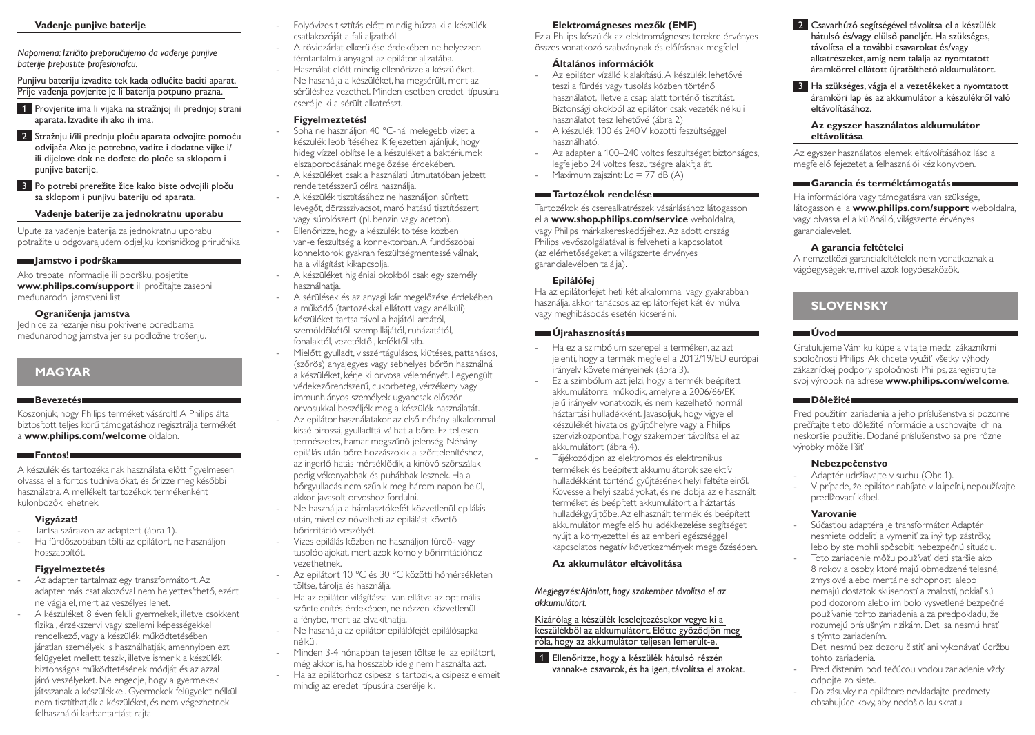#### **Vađenje punjive baterije**

*Napomena: Izričito preporučujemo da vađenje punjive baterije prepustite profesionalcu.* 

Punjivu bateriju izvadite tek kada odlučite baciti aparat. Prije vađenja povjerite je li baterija potpuno prazna.

1 Provjerite ima li vijaka na stražnjoj ili prednjoj strani aparata. Izvadite ih ako ih ima.

2 Stražnju i/ili prednju ploču aparata odvojite pomoću odvijača. Ako je potrebno, vadite i dodatne vijke i/ ili dijelove dok ne dođete do ploče sa sklopom i punjive baterije.

3 Po potrebi prerežite žice kako biste odvojili ploču sa sklopom i punjivu bateriju od aparata.

#### **Vađenje baterije za jednokratnu uporabu**

Upute za vađenje baterija za jednokratnu uporabu potražite u odgovarajućem odjeljku korisničkog priručnika.

#### **Jamstvo i podrška**

Ako trebate informacije ili podršku, posjetite **www.philips.com/support** ili pročitajte zasebni međunarodni jamstveni list.

#### **Ograničenja jamstva**

Jedinice za rezanje nisu pokrivene odredbama međunarodnog jamstva jer su podložne trošenju.

## **MAGYAR**

#### **Bevezetés**

Köszönjük, hogy Philips terméket vásárolt! A Philips által biztosított teljes körű támogatáshoz regisztrálja termékét a **www.philips.com/welcome** oldalon.

#### **Fontos!**

A készülék és tartozékainak használata előtt figyelmesen olvassa el a fontos tudnivalókat, és őrizze meg későbbi használatra. A mellékelt tartozékok termékenként különbözők lehetnek.

## **Vigyázat!**

- Tartsa szárazon az adaptert (ábra 1).
- Ha fürdőszobában tölti az epilátort, ne használjon hosszabbítót.

#### **Figyelmeztetés**

- Az adapter tartalmaz egy transzformátort. Az adapter más csatlakozóval nem helyettesíthető, ezért ne vágja el, mert az veszélyes lehet.
- A készüléket 8 éven felüli gyermekek, illetve csökkent fizikai, érzékszervi vagy szellemi képességekkel rendelkező, vagy a készülék működtetésében járatlan személyek is használhatják, amennyiben ezt felügyelet mellett teszik, illetve ismerik a készülék biztonságos működtetésének módját és az azzal járó veszélyeket. Ne engedje, hogy a gyermekek játsszanak a készülékkel. Gyermekek felügyelet nélkül nem tisztíthatják a készüléket, és nem végezhetnek felhasználói karbantartást rajta.
- Folyóvizes tisztítás előtt mindig húzza ki a készülék csatlakozóját a fali aljzatból.
- A rövidzárlat elkerülése érdekében ne helyezzen fémtartalmú anyagot az epilátor aljzatába.
- Használat előtt mindig ellenőrizze a készüléket. Ne használja a készüléket, ha megsérült, mert az sérüléshez vezethet. Minden esetben eredeti típusúra cserélje ki a sérült alkatrészt.

### **Figyelmeztetés!**

- Soha ne használjon 40 °C-nál melegebb vizet a készülék leöblítéséhez. Kifejezetten ajánljuk, hogy hideg vízzel öblítse le a készüléket a baktériumok elszaporodásának megelőzése érdekében.
- A készüléket csak a használati útmutatóban jelzett rendeltetésszerű célra használja.
- A készülék tisztításához ne használjon sűrített levegőt, dörzsszivacsot, maró hatású tisztítószert vagy súrolószert (pl. benzin vagy aceton).
- Ellenőrizze, hogy a készülék töltése közben van-e feszültség a konnektorban. A fürdőszobai konnektorok gyakran feszültségmentessé válnak, ha a világítást kikapcsolja.
- A készüléket higiéniai okokból csak egy személy használhatia.
- A sérülések és az anyagi kár megelőzése érdekében a működő (tartozékkal ellátott vagy anélküli) készüléket tartsa távol a hajától, arcától, szemöldökétől, szempillájától, ruházatától, fonalaktól, vezetéktől, keféktől stb.
- Mielőtt gyulladt, visszértágulásos, kiütéses, pattanásos, (szőrös) anyajegyes vagy sebhelyes bőrön használná a készüléket, kérje ki orvosa véleményét. Legyengült védekezőrendszerű, cukorbeteg, vérzékeny vagy immunhiányos személyek ugyancsak először orvosukkal beszéljék meg a készülék használatát.
- Az epilátor használatakor az első néhány alkalommal kissé pirossá, gyulladttá válhat a bőre. Ez teljesen természetes, hamar megszűnő jelenség. Néhány epilálás után bőre hozzászokik a szőrtelenítéshez, az ingerlő hatás mérséklődik, a kinövő szőrszálak pedig vékonyabbak és puhábbak lesznek. Ha a bőrgyulladás nem szűnik meg három napon belül, akkor javasolt orvoshoz fordulni.
- Ne használja a hámlasztókefét közvetlenül epilálás után, mivel ez növelheti az epilálást követő bőrirritáció veszélyét.
- Vizes epilálás közben ne használjon fürdő- vagy tusolóolajokat, mert azok komoly bőrirritációhoz vezethetnek.
- Az epilátort 10 °C és 30 °C közötti hőmérsékleten töltse, tárolja és használja.
- Ha az epilátor világítással van ellátva az optimális szőrtelenítés érdekében, ne nézzen közvetlenül a fénybe, mert az elvakíthatja.
- Ne használja az epilátor epilálófejét epilálósapka nélkül.
- Minden 3-4 hónapban teljesen töltse fel az epilátort, még akkor is, ha hosszabb ideig nem használta azt.
- Ha az epilátorhoz csipesz is tartozik, a csipesz elemeit mindig az eredeti típusúra cserélje ki.

## **Elektromágneses mezők (EMF)**

Ez a Philips készülék az elektromágneses terekre érvényes összes vonatkozó szabványnak és előírásnak megfelel

## **Általános információk**

- Az epilátor vízálló kialakítású. A készülék lehetővé teszi a fürdés vagy tusolás közben történő használatot, illetve a csap alatt történő tisztítást. Biztonsági okokból az epilátor csak vezeték nélküli használatot tesz lehetővé (ábra 2).
- A készülék 100 és 240 V közötti feszültséggel használható.
- Az adapter a 100–240 voltos feszültséget biztonságos, legfeljebb 24 voltos feszültségre alakítja át.
- Maximum zajszint:  $Lc = 77$  dB  $(A)$

### **Tartozékok rendelése**

Tartozékok és cserealkatrészek vásárlásához látogasson el a **www.shop.philips.com/service** weboldalra, vagy Philips márkakereskedőjéhez. Az adott ország Philips vevőszolgálatával is felveheti a kapcsolatot (az elérhetőségeket a világszerte érvényes garancialevélben találja).

#### **Epilálófej**

Ha az epilátorfejet heti két alkalommal vagy gyakrabban használja, akkor tanácsos az epilátorfejet két év múlva vagy meghibásodás esetén kicserélni.

#### **Újrahasznosítás**

- Ha ez a szimbólum szerepel a terméken, az azt jelenti, hogy a termék megfelel a 2012/19/EU európai irányelv követelményeinek (ábra 3).
- Ez a szimbólum azt jelzi, hogy a termék beépített akkumulátorral működik, amelyre a 2006/66/EK jelű irányelv vonatkozik, és nem kezelhető normál háztartási hulladékként. Javasoljuk, hogy vigye el készülékét hivatalos gyűjtőhelyre vagy a Philips szervizközpontba, hogy szakember távolítsa el az akkumulátort (ábra 4).
- Tájékozódjon az elektromos és elektronikus termékek és beépített akkumulátorok szelektív hulladékként történő gyűjtésének helyi feltételeiről. Kövesse a helyi szabályokat, és ne dobja az elhasznált terméket és beépített akkumulátort a háztartási hulladékgyűjtőbe. Az elhasznált termék és beépített akkumulátor megfelelő hulladékkezelése segítséget nyújt a környezettel és az emberi egészséggel kapcsolatos negatív következmények megelőzésében.

#### **Az akkumulátor eltávolítása**

#### *Megjegyzés: Ajánlott, hogy szakember távolítsa el az akkumulátort.*

#### Kizárólag a készülék leselejtezésekor vegye ki a készülékből az akkumulátort. Előtte győződjön meg róla, hogy az akkumulátor teljesen lemerült-e.

1 Ellenőrizze, hogy a készülék hátulsó részén vannak-e csavarok, és ha igen, távolítsa el azokat.

- **2** Csavarhúzó segítségével távolítsa el a készülék hátulsó és/vagy elülső paneljét. Ha szükséges, távolítsa el a további csavarokat és/vagy alkatrészeket, amíg nem találja az nyomtatott áramkörrel ellátott újratölthető akkumulátort.
- 3 Ha szükséges, vágja el a vezetékeket a nyomtatott áramköri lap és az akkumulátor a készülékről való eltávolításához.

#### **Az egyszer használatos akkumulátor eltávolítása**

Az egyszer használatos elemek eltávolításához lásd a megfelelő fejezetet a felhasználói kézikönyvben.

### **Garancia és terméktámogatás**

Ha információra vagy támogatásra van szüksége, látogasson el a **www.philips.com/support** weboldalra, vagy olvassa el a különálló, világszerte érvényes garancialevelet.

## **A garancia feltételei**

A nemzetközi garanciafeltételek nem vonatkoznak a vágóegységekre, mivel azok fogyóeszközök.

# **SLOVENSKY**

### **Úvod**

Gratulujeme Vám ku kúpe a vitajte medzi zákazníkmi spoločnosti Philips! Ak chcete využiť všetky výhody zákazníckej podpory spoločnosti Philips, zaregistrujte svoj výrobok na adrese **www.philips.com/welcome**.

#### **Dôležité**

Pred použitím zariadenia a jeho príslušenstva si pozorne prečítajte tieto dôležité informácie a uschovajte ich na neskoršie použitie. Dodané príslušenstvo sa pre rôzne výrobky môže líšiť.

#### **Nebezpečenstvo**

- Adaptér udržiavajte v suchu (Obr. 1).
- V prípade, že epilátor nabíjate v kúpeľni, nepoužívajte predlžovací kábel.

#### **Varovanie**

- Súčasťou adaptéra je transformátor. Adaptér nesmiete oddeliť a vymeniť za iný typ zástrčky, lebo by ste mohli spôsobiť nebezpečnú situáciu.
- Toto zariadenie môžu používať deti staršie ako 8 rokov a osoby, ktoré majú obmedzené telesné, zmyslové alebo mentálne schopnosti alebo nemajú dostatok skúseností a znalostí, pokiaľ sú pod dozorom alebo im bolo vysvetlené bezpečné používanie tohto zariadenia a za predpokladu, že rozumejú príslušným rizikám. Deti sa nesmú hrať s týmto zariadením.
- Deti nesmú bez dozoru čistiť ani vykonávať údržbu tohto zariadenia.
- Pred čistením pod tečúcou vodou zariadenie vždy odpojte zo siete.
- Do zásuvky na epilátore nevkladajte predmety obsahujúce kovy, aby nedošlo ku skratu.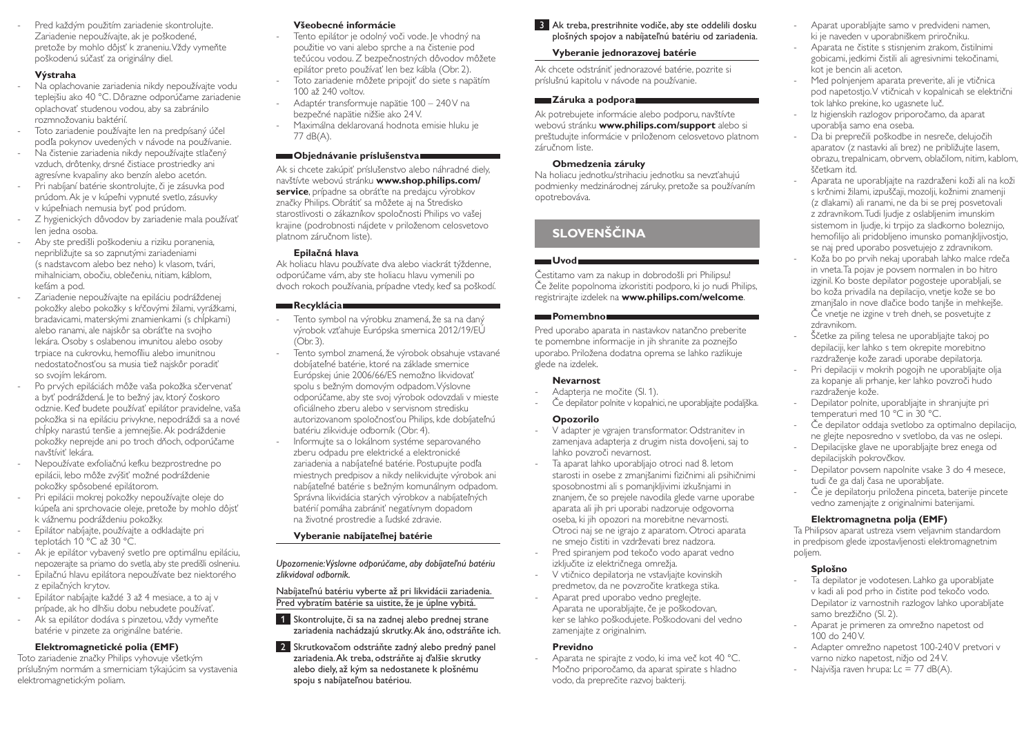Pred každým použitím zariadenie skontrolujte. Zariadenie nepoužívajte, ak je poškodené, pretože by mohlo dôjsť k zraneniu. Vždy vymeňte poškodenú súčasť za originálny diel.

#### **Výstraha**

- Na oplachovanie zariadenia nikdy nepoužívajte vodu teplejšiu ako 40 °C. Dôrazne odporúčame zariadenie oplachovať studenou vodou, aby sa zabránilo rozmnožovaniu baktérií.
- Toto zariadenie používajte len na predpísaný účel podľa pokynov uvedených v návode na používanie.
- Na čistenie zariadenia nikdy nepoužívajte stlačený vzduch, drôtenky, drsné čistiace prostriedky ani agresívne kvapaliny ako benzín alebo acetón.
- Pri nabíjaní batérie skontrolujte, či je zásuvka pod prúdom. Ak je v kúpeľni vypnuté svetlo, zásuvky v kúpeľniach nemusia byť pod prúdom.
- Z hygienických dôvodov by zariadenie mala používať len jedna osoba.
- Aby ste predišli poškodeniu a riziku poranenia, nepribližujte sa so zapnutými zariadeniami (s nadstavcom alebo bez neho) k vlasom, tvári, mihalniciam, obočiu, oblečeniu, nitiam, káblom, kefám a pod.
- Zariadenie nepoužívajte na epiláciu podráždenej pokožky alebo pokožky s kŕčovými žilami, vyrážkami, bradavicami, materskými znamienkami (s chĺpkami) alebo ranami, ale najskôr sa obráťte na svojho lekára. Osoby s oslabenou imunitou alebo osoby trpiace na cukrovku, hemofíliu alebo imunitnou nedostatočnosťou sa musia tiež najskôr poradiť so svojím lekárom.
- Po prvých epiláciách môže vaša pokožka sčervenať a byť podráždená. Je to bežný jav, ktorý čoskoro odznie. Keď budete používať epilátor pravidelne, vaša pokožka si na epiláciu privykne, nepodráždi sa a nové chĺpky narastú tenšie a jemnejšie. Ak podráždenie pokožky neprejde ani po troch dňoch, odporúčame navštíviť lekára.
- Nepoužívate exfoliačnú kefku bezprostredne po epilácii, lebo môže zvýšiť možné podráždenie pokožky spôsobené epilátorom.
- Pri epilácii mokrej pokožky nepoužívajte oleje do kúpeľa ani sprchovacie oleje, pretože by mohlo dôjsť k vážnemu podráždeniu pokožky.
- Epilátor nabíjajte, používajte a odkladajte pri teplotách 10 °C až 30 °C.
- Ak je epilátor vybavený svetlo pre optimálnu epiláciu, nepozerajte sa priamo do svetla, aby ste predišli oslneniu.
- Epilačnú hlavu epilátora nepoužívate bez niektorého z epilačných krytov.
- Epilátor nabíjajte každé 3 až 4 mesiace, a to aj v prípade, ak ho dlhšiu dobu nebudete používať.
- Ak sa epilátor dodáva s pinzetou, vždy vymeňte batérie v pinzete za originálne batérie.

#### **Elektromagnetické polia (EMF)**

Toto zariadenie značky Philips vyhovuje všetkým príslušným normám a smerniciam týkajúcim sa vystavenia elektromagnetickým poliam.

#### **Všeobecné informácie**

- Tento epilátor je odolný voči vode. Je vhodný na použitie vo vani alebo sprche a na čistenie pod tečúcou vodou. Z bezpečnostných dôvodov môžete epilátor preto používať len bez kábla (Obr. 2).
- Toto zariadenie môžete pripojiť do siete s napätím 100 až 240 voltov.
- Adaptér transformuje napätie 100 240V na bezpečné napätie nižšie ako 24V.
- Maximálna deklarovaná hodnota emisie hluku je 77 dB(A).

#### **Objednávanie príslušenstva**

Ak si chcete zakúpiť príslušenstvo alebo náhradné diely, navštívte webovú stránku **www.shop.philips.com/** service, prípadne sa obráťte na predajcu výrobkov značky Philips. Obrátiť sa môžete aj na Stredisko starostlivosti o zákazníkov spoločnosti Philips vo vašej krajine (podrobnosti nájdete v priloženom celosvetovo platnom záručnom liste).

#### **Epilačná hlava**

Ak holiacu hlavu používate dva alebo viackrát týždenne, odporúčame vám, aby ste holiacu hlavu vymenili po dvoch rokoch používania, prípadne vtedy, keď sa poškodí.

#### **Recyklácia**

- Tento symbol na výrobku znamená, že sa na daný výrobok vzťahuje Európska smernica 2012/19/EÚ (Obr. 3).
- Tento symbol znamená, že výrobok obsahuje vstavané dobíjateľné batérie, ktoré na základe smernice Európskej únie 2006/66/ES nemožno likvidovať spolu s bežným domovým odpadom. Výslovne odporúčame, aby ste svoj výrobok odovzdali v mieste oficiálneho zberu alebo v servisnom stredisku autorizovanom spoločnosťou Philips, kde dobíjateľnú batériu zlikviduje odborník (Obr. 4).
- Informujte sa o lokálnom systéme separovaného zberu odpadu pre elektrické a elektronické zariadenia a nabíjateľné batérie. Postupujte podľa miestnych predpisov a nikdy nelikvidujte výrobok ani nabíjateľné batérie s bežným komunálnym odpadom. Správna likvidácia starých výrobkov a nabíjateľných batérií pomáha zabrániť negatívnym dopadom na životné prostredie a ľudské zdravie.

#### **Vyberanie nabíjateľnej batérie**

*Upozornenie: Výslovne odporúčame, aby dobíjateľnú batériu zlikvidoval odborník.* 

#### Nabíjateľnú batériu vyberte až pri likvidácii zariadenia. Pred vybratím batérie sa uistite, že je úplne vybitá.

- 1 Skontrolujte, či sa na zadnej alebo prednej strane zariadenia nachádzajú skrutky. Ak áno, odstráňte ich.
- 2 Skrutkovačom odstráňte zadný alebo predný panel zariadenia. Ak treba, odstráňte aj ďalšie skrutky alebo diely, až kým sa nedostanete k plošnému spoju s nabíjateľnou batériou.

## 3 Ak treba, prestrihnite vodiče, aby ste oddelili dosku plošných spojov a nabíjateľnú batériu od zariadenia.

## **Vyberanie jednorazovej batérie**

Ak chcete odstrániť jednorazové batérie, pozrite si príslušnú kapitolu v návode na používanie.

#### **Záruka a podpora**

Ak potrebujete informácie alebo podporu, navštívte webovú stránku **www.philips.com/support** alebo si preštudujte informácie v priloženom celosvetovo platnom .<br>záručnom liste

#### **Obmedzenia záruky**

Na holiacu jednotku/strihaciu jednotku sa nevzťahujú podmienky medzinárodnej záruky, pretože sa používaním opotrebováva.

# **SLOVENŠČINA**

## **Uvod**

Čestitamo vam za nakup in dobrodošli pri Philipsu! Če želite popolnoma izkoristiti podporo, ki jo nudi Philips, registrirajte izdelek na **www.philips.com/welcome**.

#### **Pomembno**

Pred uporabo aparata in nastavkov natančno preberite te pomembne informacije in jih shranite za poznejšo uporabo. Priložena dodatna oprema se lahko razlikuje glede na izdelek.

#### **Nevarnost**

- Adapteria ne močite (Sl. 1).
- Če depilator polnite v kopalnici, ne uporabliajte podaljška.

#### **Opozorilo**

- V adapter je vgrajen transformator. Odstranitev in zamenjava adapterja z drugim nista dovoljeni, saj to lahko povzroči nevarnost.
- Ta aparat lahko uporabljajo otroci nad 8. letom starosti in osebe z zmanjšanimi fizičnimi ali psihičnimi sposobnostmi ali s pomanjkljivimi izkušnjami in znanjem, če so prejele navodila glede varne uporabe aparata ali jih pri uporabi nadzoruje odgovorna oseba, ki jih opozori na morebitne nevarnosti. Otroci naj se ne igrajo z aparatom. Otroci aparata ne smejo čistiti in vzdrževati brez nadzora.
- Pred spiranjem pod tekočo vodo aparat vedno izključite iz električnega omrežja.
- V vtičnico depilatorja ne vstavljajte kovinskih predmetov, da ne povzročite kratkega stika. Aparat pred uporabo vedno preglejte.
- Aparata ne uporabljajte, če je poškodovan, ker se lahko poškodujete. Poškodovani del vedno zamenjajte z originalnim.

### **Previdno**

- Aparata ne spirajte z vodo, ki ima več kot 40 °C. Močno priporočamo, da aparat spirate s hladno vodo, da preprečite razvoj bakterij.

- Aparat uporabljajte samo v predvideni namen, ki je naveden v uporabniškem priročniku.
- Aparata ne čistite s stisnjenim zrakom, čistilnimi gobicami, jedkimi čistili ali agresivnimi tekočinami, kot je bencin ali aceton.
- Med polnjenjem aparata preverite, ali je vtičnica pod napetostjo. V vtičnicah v kopalnicah se električni tok lahko prekine, ko ugasnete luč.
- Iz higienskih razlogov priporočamo, da aparat uporablja samo ena oseba.
- Da bi preprečili poškodbe in nesreče, delujočih aparatov (z nastavki ali brez) ne približujte lasem, obrazu, trepalnicam, obrvem, oblačilom, nitim, kablom, ščetkam itd.
- Aparata ne uporabljajte na razdraženi koži ali na koži s krčnimi žilami, izpuščaji, mozolji, kožnimi znamenji (z dlakami) ali ranami, ne da bi se prej posvetovali z zdravnikom. Tudi ljudje z oslabljenim imunskim sistemom in ljudje, ki trpijo za sladkorno boleznijo, hemofilijo ali pridobljeno imunsko pomanjkljivostjo, se naj pred uporabo posvetujejo z zdravnikom.
- Koža bo po prvih nekaj uporabah lahko malce rdeča in vneta. Ta pojav je povsem normalen in bo hitro izginil. Ko boste depilator pogosteje uporabljali, se bo koža privadila na depilacijo, vnetje kože se bo zmanjšalo in nove dlačice bodo tanjše in mehkejše. Če vnetje ne izgine v treh dneh, se posvetujte z zdravnikom.
- Ščetke za piling telesa ne uporabliajte takoj po depilaciji, ker lahko s tem okrepite morebitno razdraženje kože zaradi uporabe depilatorja.
- Pri depilaciji v mokrih pogojih ne uporabljajte olja za kopanje ali prhanje, ker lahko povzroči hudo razdraženje kože.
- Depilator polnite, uporabliajte in shranjujte pri temperaturi med 10 °C in 30 °C.
- Če depilator oddaja svetlobo za optimalno depilacijo, ne glejte neposredno v svetlobo, da vas ne oslepi.
- Depilacijske glave ne uporabljajte brez enega od depilacijskih pokrovčkov.
- Depilator povsem napolnite vsake 3 do 4 mesece, tudi če ga dalj časa ne uporabljate.
- Če je depilatorju priložena pinceta, baterije pincete vedno zamenjajte z originalnimi baterijami.

## **Elektromagnetna polja (EMF)**

Ta Philipsov aparat ustreza vsem veljavnim standardom in predpisom glede izpostavljenosti elektromagnetnim poljem.

## **Splošno**

- Ta depilator je vodotesen. Lahko ga uporabljate v kadi ali pod prho in čistite pod tekočo vodo. Depilator iz varnostnih razlogov lahko uporabljate samo brezžično (Sl. 2).
- Aparat je primeren za omrežno napetost od 100 do 240 V.
- Adapter omrežno napetost 100-240 V pretvori v varno nizko napetost, nižjo od 24 V.
- Najvišja raven hrupa: Lc = 77 dB(A).